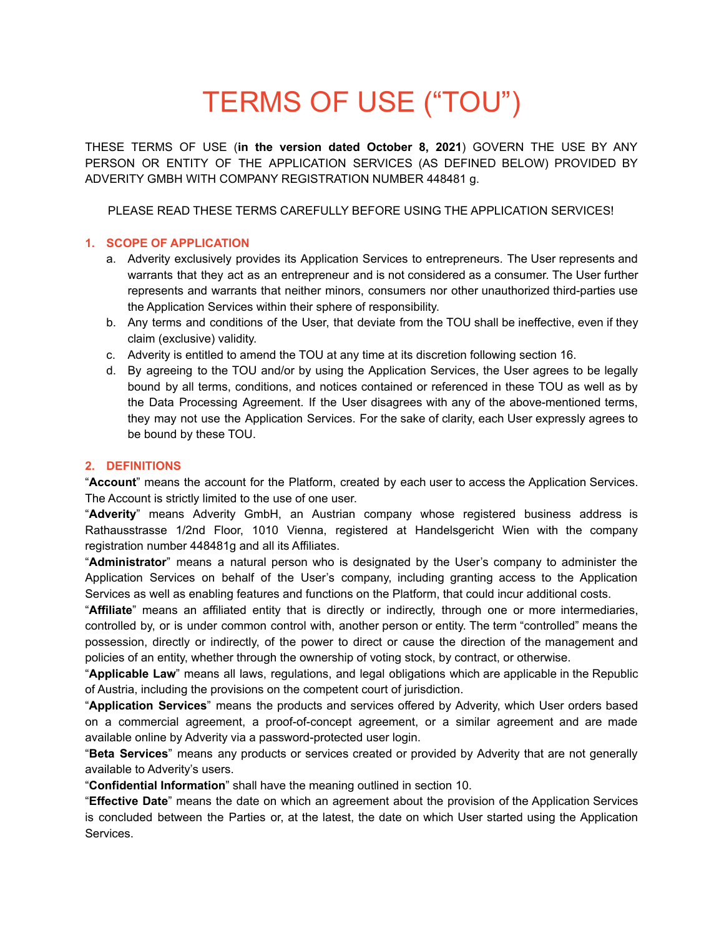# TERMS OF USE ("TOU")

THESE TERMS OF USE (**in the version dated October 8, 2021**) GOVERN THE USE BY ANY PERSON OR ENTITY OF THE APPLICATION SERVICES (AS DEFINED BELOW) PROVIDED BY ADVERITY GMBH WITH COMPANY REGISTRATION NUMBER 448481 g.

PLEASE READ THESE TERMS CAREFULLY BEFORE USING THE APPLICATION SERVICES!

# **1. SCOPE OF APPLICATION**

- a. Adverity exclusively provides its Application Services to entrepreneurs. The User represents and warrants that they act as an entrepreneur and is not considered as a consumer. The User further represents and warrants that neither minors, consumers nor other unauthorized third-parties use the Application Services within their sphere of responsibility.
- b. Any terms and conditions of the User, that deviate from the TOU shall be ineffective, even if they claim (exclusive) validity.
- c. Adverity is entitled to amend the TOU at any time at its discretion following section 16.
- d. By agreeing to the TOU and/or by using the Application Services, the User agrees to be legally bound by all terms, conditions, and notices contained or referenced in these TOU as well as by the Data Processing Agreement. If the User disagrees with any of the above-mentioned terms, they may not use the Application Services. For the sake of clarity, each User expressly agrees to be bound by these TOU.

# **2. DEFINITIONS**

"**Account**" means the account for the Platform, created by each user to access the Application Services. The Account is strictly limited to the use of one user.

"**Adverity**" means Adverity GmbH, an Austrian company whose registered business address is Rathausstrasse 1/2nd Floor, 1010 Vienna, registered at Handelsgericht Wien with the company registration number 448481g and all its Affiliates.

"**Administrator**" means a natural person who is designated by the User's company to administer the Application Services on behalf of the User's company, including granting access to the Application Services as well as enabling features and functions on the Platform, that could incur additional costs.

"**Affiliate**" means an affiliated entity that is directly or indirectly, through one or more intermediaries, controlled by, or is under common control with, another person or entity. The term "controlled" means the possession, directly or indirectly, of the power to direct or cause the direction of the management and policies of an entity, whether through the ownership of voting stock, by contract, or otherwise.

"**Applicable Law**" means all laws, regulations, and legal obligations which are applicable in the Republic of Austria, including the provisions on the competent court of jurisdiction.

"**Application Services**" means the products and services offered by Adverity, which User orders based on a commercial agreement, a proof-of-concept agreement, or a similar agreement and are made available online by Adverity via a password-protected user login.

"**Beta Services**" means any products or services created or provided by Adverity that are not generally available to Adverity's users.

"**Confidential Information**" shall have the meaning outlined in section 10.

"**Effective Date**" means the date on which an agreement about the provision of the Application Services is concluded between the Parties or, at the latest, the date on which User started using the Application Services.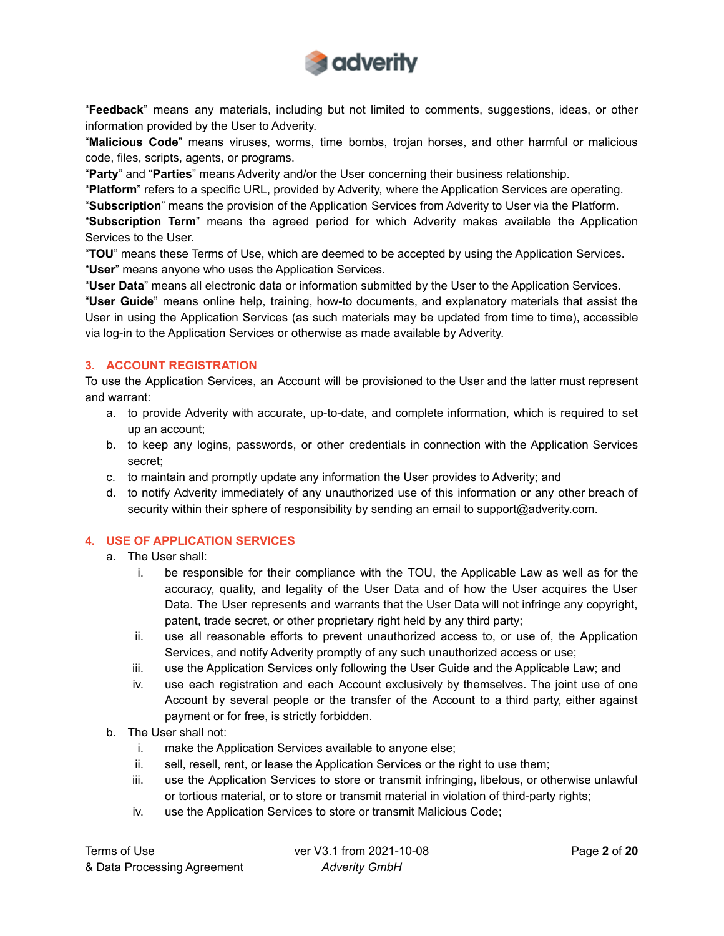

"**Feedback**" means any materials, including but not limited to comments, suggestions, ideas, or other information provided by the User to Adverity.

"**Malicious Code**" means viruses, worms, time bombs, trojan horses, and other harmful or malicious code, files, scripts, agents, or programs.

"**Party**" and "**Parties**" means Adverity and/or the User concerning their business relationship.

"**Platform**" refers to a specific URL, provided by Adverity, where the Application Services are operating. "**Subscription**" means the provision of the Application Services from Adverity to User via the Platform.

"**Subscription Term**" means the agreed period for which Adverity makes available the Application Services to the User.

"**TOU**" means these Terms of Use, which are deemed to be accepted by using the Application Services. "**User**" means anyone who uses the Application Services.

"**User Data**" means all electronic data or information submitted by the User to the Application Services.

"**User Guide**" means online help, training, how-to documents, and explanatory materials that assist the User in using the Application Services (as such materials may be updated from time to time), accessible via log-in to the Application Services or otherwise as made available by Adverity.

# **3. ACCOUNT REGISTRATION**

To use the Application Services, an Account will be provisioned to the User and the latter must represent and warrant:

- a. to provide Adverity with accurate, up-to-date, and complete information, which is required to set up an account;
- b. to keep any logins, passwords, or other credentials in connection with the Application Services secret;
- c. to maintain and promptly update any information the User provides to Adverity; and
- d. to notify Adverity immediately of any unauthorized use of this information or any other breach of security within their sphere of responsibility by sending an email to support@adverity.com.

# **4. USE OF APPLICATION SERVICES**

- a. The User shall:
	- i. be responsible for their compliance with the TOU, the Applicable Law as well as for the accuracy, quality, and legality of the User Data and of how the User acquires the User Data. The User represents and warrants that the User Data will not infringe any copyright, patent, trade secret, or other proprietary right held by any third party;
	- ii. use all reasonable efforts to prevent unauthorized access to, or use of, the Application Services, and notify Adverity promptly of any such unauthorized access or use;
	- iii. use the Application Services only following the User Guide and the Applicable Law; and
	- iv. use each registration and each Account exclusively by themselves. The joint use of one Account by several people or the transfer of the Account to a third party, either against payment or for free, is strictly forbidden.
- b. The User shall not:
	- i. make the Application Services available to anyone else;
	- ii. sell, resell, rent, or lease the Application Services or the right to use them;
	- iii. use the Application Services to store or transmit infringing, libelous, or otherwise unlawful or tortious material, or to store or transmit material in violation of third-party rights;
	- iv. use the Application Services to store or transmit Malicious Code;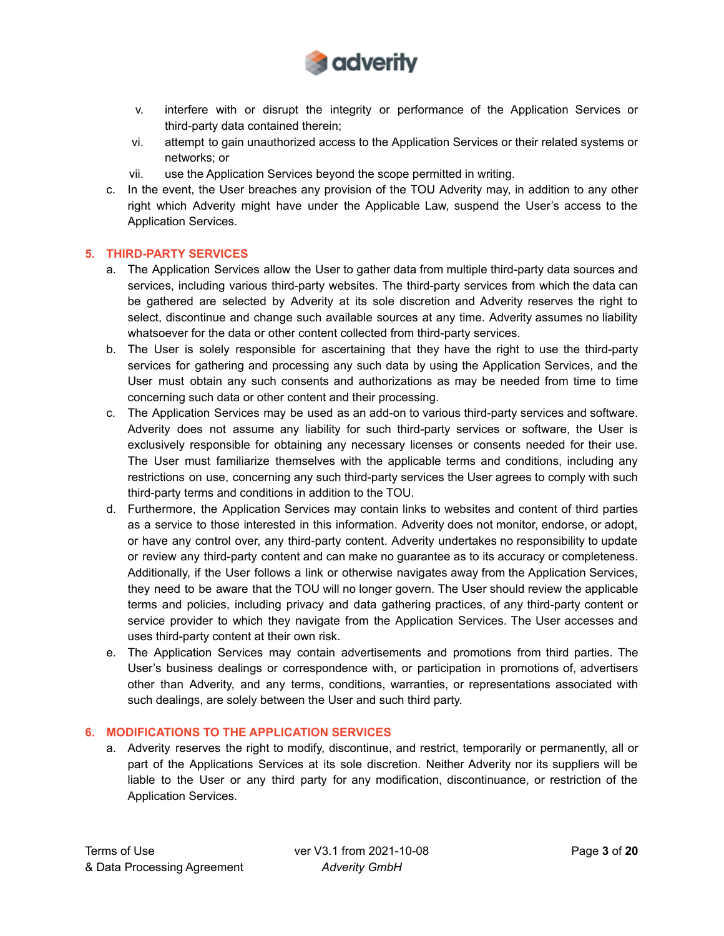

- v. interfere with or disrupt the integrity or performance of the Application Services or third-party data contained therein;
- vi. attempt to gain unauthorized access to the Application Services or their related systems or networks; or
- vii. use the Application Services beyond the scope permitted in writing.
- c. In the event, the User breaches any provision of the TOU Adverity may, in addition to any other right which Adverity might have under the Applicable Law, suspend the User's access to the Application Services.

### **5. THIRD-PARTY SERVICES**

- a. The Application Services allow the User to gather data from multiple third-party data sources and services, including various third-party websites. The third-party services from which the data can be gathered are selected by Adverity at its sole discretion and Adverity reserves the right to select, discontinue and change such available sources at any time. Adverity assumes no liability whatsoever for the data or other content collected from third-party services.
- b. The User is solely responsible for ascertaining that they have the right to use the third-party services for gathering and processing any such data by using the Application Services, and the User must obtain any such consents and authorizations as may be needed from time to time concerning such data or other content and their processing.
- c. The Application Services may be used as an add-on to various third-party services and software. Adverity does not assume any liability for such third-party services or software, the User is exclusively responsible for obtaining any necessary licenses or consents needed for their use. The User must familiarize themselves with the applicable terms and conditions, including any restrictions on use, concerning any such third-party services the User agrees to comply with such third-party terms and conditions in addition to the TOU.
- d. Furthermore, the Application Services may contain links to websites and content of third parties as a service to those interested in this information. Adverity does not monitor, endorse, or adopt, or have any control over, any third-party content. Adverity undertakes no responsibility to update or review any third-party content and can make no guarantee as to its accuracy or completeness. Additionally, if the User follows a link or otherwise navigates away from the Application Services, they need to be aware that the TOU will no longer govern. The User should review the applicable terms and policies, including privacy and data gathering practices, of any third-party content or service provider to which they navigate from the Application Services. The User accesses and uses third-party content at their own risk.
- e. The Application Services may contain advertisements and promotions from third parties. The User's business dealings or correspondence with, or participation in promotions of, advertisers other than Adverity, and any terms, conditions, warranties, or representations associated with such dealings, are solely between the User and such third party.

### **6. MODIFICATIONS TO THE APPLICATION SERVICES**

a. Adverity reserves the right to modify, discontinue, and restrict, temporarily or permanently, all or part of the Applications Services at its sole discretion. Neither Adverity nor its suppliers will be liable to the User or any third party for any modification, discontinuance, or restriction of the Application Services.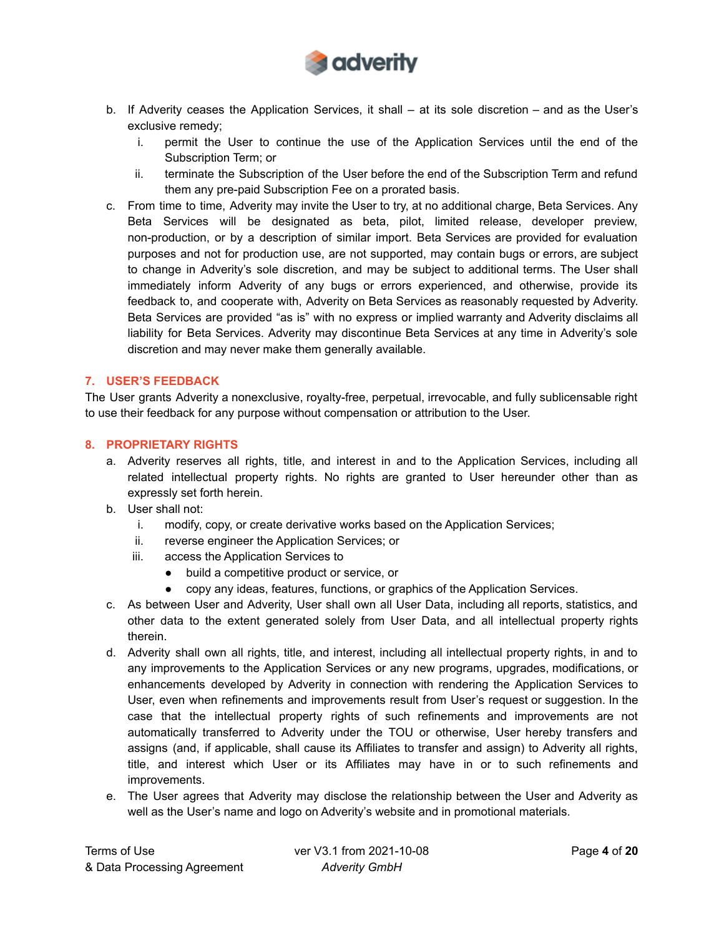

- b. If Adverity ceases the Application Services, it shall at its sole discretion and as the User's exclusive remedy;
	- i. permit the User to continue the use of the Application Services until the end of the Subscription Term; or
	- ii. terminate the Subscription of the User before the end of the Subscription Term and refund them any pre-paid Subscription Fee on a prorated basis.
- c. From time to time, Adverity may invite the User to try, at no additional charge, Beta Services. Any Beta Services will be designated as beta, pilot, limited release, developer preview, non-production, or by a description of similar import. Beta Services are provided for evaluation purposes and not for production use, are not supported, may contain bugs or errors, are subject to change in Adverity's sole discretion, and may be subject to additional terms. The User shall immediately inform Adverity of any bugs or errors experienced, and otherwise, provide its feedback to, and cooperate with, Adverity on Beta Services as reasonably requested by Adverity. Beta Services are provided "as is" with no express or implied warranty and Adverity disclaims all liability for Beta Services. Adverity may discontinue Beta Services at any time in Adverity's sole discretion and may never make them generally available.

# **7. USER'S FEEDBACK**

The User grants Adverity a nonexclusive, royalty-free, perpetual, irrevocable, and fully sublicensable right to use their feedback for any purpose without compensation or attribution to the User.

### **8. PROPRIETARY RIGHTS**

- a. Adverity reserves all rights, title, and interest in and to the Application Services, including all related intellectual property rights. No rights are granted to User hereunder other than as expressly set forth herein.
- b. User shall not:
	- i. modify, copy, or create derivative works based on the Application Services;
	- ii. reverse engineer the Application Services; or
	- iii. access the Application Services to
		- build a competitive product or service, or
		- copy any ideas, features, functions, or graphics of the Application Services.
- c. As between User and Adverity, User shall own all User Data, including all reports, statistics, and other data to the extent generated solely from User Data, and all intellectual property rights therein.
- d. Adverity shall own all rights, title, and interest, including all intellectual property rights, in and to any improvements to the Application Services or any new programs, upgrades, modifications, or enhancements developed by Adverity in connection with rendering the Application Services to User, even when refinements and improvements result from User's request or suggestion. In the case that the intellectual property rights of such refinements and improvements are not automatically transferred to Adverity under the TOU or otherwise, User hereby transfers and assigns (and, if applicable, shall cause its Affiliates to transfer and assign) to Adverity all rights, title, and interest which User or its Affiliates may have in or to such refinements and improvements.
- e. The User agrees that Adverity may disclose the relationship between the User and Adverity as well as the User's name and logo on Adverity's website and in promotional materials.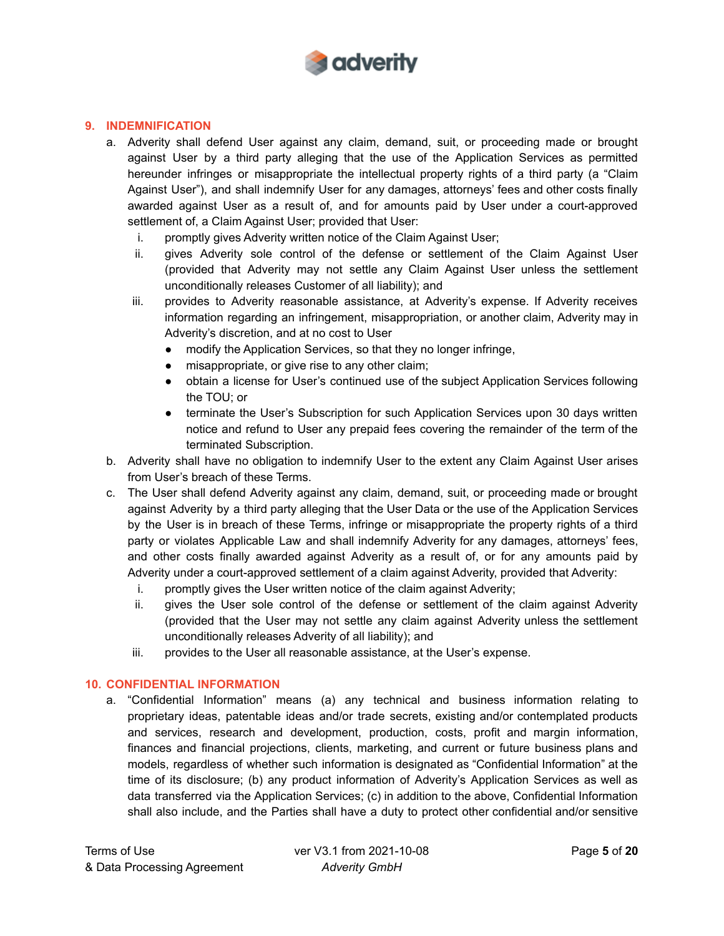

# **9. INDEMNIFICATION**

- a. Adverity shall defend User against any claim, demand, suit, or proceeding made or brought against User by a third party alleging that the use of the Application Services as permitted hereunder infringes or misappropriate the intellectual property rights of a third party (a "Claim Against User"), and shall indemnify User for any damages, attorneys' fees and other costs finally awarded against User as a result of, and for amounts paid by User under a court-approved settlement of, a Claim Against User; provided that User:
	- i. promptly gives Adverity written notice of the Claim Against User;
	- ii. gives Adverity sole control of the defense or settlement of the Claim Against User (provided that Adverity may not settle any Claim Against User unless the settlement unconditionally releases Customer of all liability); and
	- iii. provides to Adverity reasonable assistance, at Adverity's expense. If Adverity receives information regarding an infringement, misappropriation, or another claim, Adverity may in Adverity's discretion, and at no cost to User
		- modify the Application Services, so that they no longer infringe,
		- misappropriate, or give rise to any other claim;
		- obtain a license for User's continued use of the subject Application Services following the TOU; or
		- terminate the User's Subscription for such Application Services upon 30 days written notice and refund to User any prepaid fees covering the remainder of the term of the terminated Subscription.
- b. Adverity shall have no obligation to indemnify User to the extent any Claim Against User arises from User's breach of these Terms.
- c. The User shall defend Adverity against any claim, demand, suit, or proceeding made or brought against Adverity by a third party alleging that the User Data or the use of the Application Services by the User is in breach of these Terms, infringe or misappropriate the property rights of a third party or violates Applicable Law and shall indemnify Adverity for any damages, attorneys' fees, and other costs finally awarded against Adverity as a result of, or for any amounts paid by Adverity under a court-approved settlement of a claim against Adverity, provided that Adverity:
	- i. promptly gives the User written notice of the claim against Adverity;
	- ii. gives the User sole control of the defense or settlement of the claim against Adverity (provided that the User may not settle any claim against Adverity unless the settlement unconditionally releases Adverity of all liability); and
	- iii. provides to the User all reasonable assistance, at the User's expense.

# **10. CONFIDENTIAL INFORMATION**

a. "Confidential Information" means (a) any technical and business information relating to proprietary ideas, patentable ideas and/or trade secrets, existing and/or contemplated products and services, research and development, production, costs, profit and margin information, finances and financial projections, clients, marketing, and current or future business plans and models, regardless of whether such information is designated as "Confidential Information" at the time of its disclosure; (b) any product information of Adverity's Application Services as well as data transferred via the Application Services; (c) in addition to the above, Confidential Information shall also include, and the Parties shall have a duty to protect other confidential and/or sensitive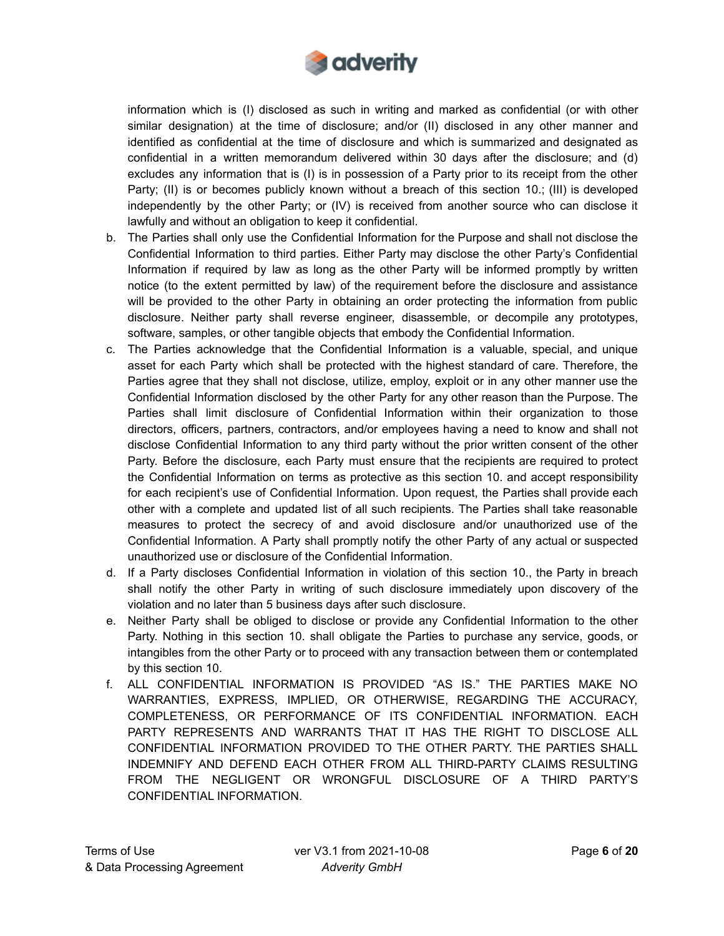

information which is (I) disclosed as such in writing and marked as confidential (or with other similar designation) at the time of disclosure; and/or (II) disclosed in any other manner and identified as confidential at the time of disclosure and which is summarized and designated as confidential in a written memorandum delivered within 30 days after the disclosure; and (d) excludes any information that is (I) is in possession of a Party prior to its receipt from the other Party; (II) is or becomes publicly known without a breach of this section 10.; (III) is developed independently by the other Party; or (IV) is received from another source who can disclose it lawfully and without an obligation to keep it confidential.

- b. The Parties shall only use the Confidential Information for the Purpose and shall not disclose the Confidential Information to third parties. Either Party may disclose the other Party's Confidential Information if required by law as long as the other Party will be informed promptly by written notice (to the extent permitted by law) of the requirement before the disclosure and assistance will be provided to the other Party in obtaining an order protecting the information from public disclosure. Neither party shall reverse engineer, disassemble, or decompile any prototypes, software, samples, or other tangible objects that embody the Confidential Information.
- c. The Parties acknowledge that the Confidential Information is a valuable, special, and unique asset for each Party which shall be protected with the highest standard of care. Therefore, the Parties agree that they shall not disclose, utilize, employ, exploit or in any other manner use the Confidential Information disclosed by the other Party for any other reason than the Purpose. The Parties shall limit disclosure of Confidential Information within their organization to those directors, officers, partners, contractors, and/or employees having a need to know and shall not disclose Confidential Information to any third party without the prior written consent of the other Party. Before the disclosure, each Party must ensure that the recipients are required to protect the Confidential Information on terms as protective as this section 10. and accept responsibility for each recipient's use of Confidential Information. Upon request, the Parties shall provide each other with a complete and updated list of all such recipients. The Parties shall take reasonable measures to protect the secrecy of and avoid disclosure and/or unauthorized use of the Confidential Information. A Party shall promptly notify the other Party of any actual or suspected unauthorized use or disclosure of the Confidential Information.
- d. If a Party discloses Confidential Information in violation of this section 10., the Party in breach shall notify the other Party in writing of such disclosure immediately upon discovery of the violation and no later than 5 business days after such disclosure.
- e. Neither Party shall be obliged to disclose or provide any Confidential Information to the other Party. Nothing in this section 10. shall obligate the Parties to purchase any service, goods, or intangibles from the other Party or to proceed with any transaction between them or contemplated by this section 10.
- f. ALL CONFIDENTIAL INFORMATION IS PROVIDED "AS IS." THE PARTIES MAKE NO WARRANTIES, EXPRESS, IMPLIED, OR OTHERWISE, REGARDING THE ACCURACY, COMPLETENESS, OR PERFORMANCE OF ITS CONFIDENTIAL INFORMATION. EACH PARTY REPRESENTS AND WARRANTS THAT IT HAS THE RIGHT TO DISCLOSE ALL CONFIDENTIAL INFORMATION PROVIDED TO THE OTHER PARTY. THE PARTIES SHALL INDEMNIFY AND DEFEND EACH OTHER FROM ALL THIRD-PARTY CLAIMS RESULTING FROM THE NEGLIGENT OR WRONGFUL DISCLOSURE OF A THIRD PARTY'S CONFIDENTIAL INFORMATION.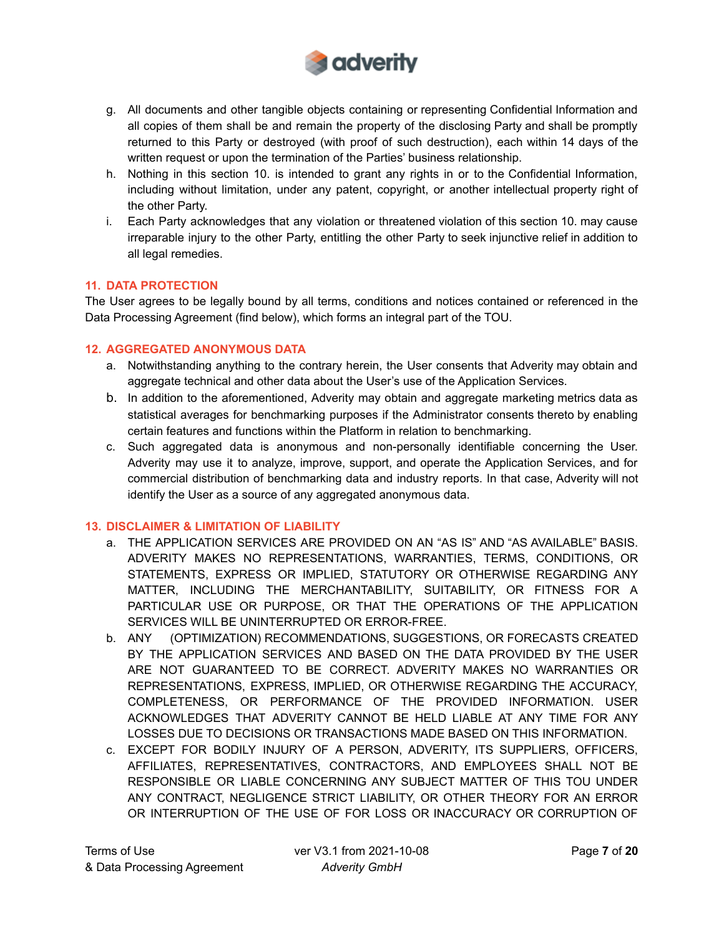

- g. All documents and other tangible objects containing or representing Confidential Information and all copies of them shall be and remain the property of the disclosing Party and shall be promptly returned to this Party or destroyed (with proof of such destruction), each within 14 days of the written request or upon the termination of the Parties' business relationship.
- h. Nothing in this section 10. is intended to grant any rights in or to the Confidential Information, including without limitation, under any patent, copyright, or another intellectual property right of the other Party.
- i. Each Party acknowledges that any violation or threatened violation of this section 10. may cause irreparable injury to the other Party, entitling the other Party to seek injunctive relief in addition to all legal remedies.

# **11. DATA PROTECTION**

The User agrees to be legally bound by all terms, conditions and notices contained or referenced in the Data Processing Agreement (find below), which forms an integral part of the TOU.

# **12. AGGREGATED ANONYMOUS DATA**

- a. Notwithstanding anything to the contrary herein, the User consents that Adverity may obtain and aggregate technical and other data about the User's use of the Application Services.
- b. In addition to the aforementioned, Adverity may obtain and aggregate marketing metrics data as statistical averages for benchmarking purposes if the Administrator consents thereto by enabling certain features and functions within the Platform in relation to benchmarking.
- c. Such aggregated data is anonymous and non-personally identifiable concerning the User. Adverity may use it to analyze, improve, support, and operate the Application Services, and for commercial distribution of benchmarking data and industry reports. In that case, Adverity will not identify the User as a source of any aggregated anonymous data.

# **13. DISCLAIMER & LIMITATION OF LIABILITY**

- a. THE APPLICATION SERVICES ARE PROVIDED ON AN "AS IS" AND "AS AVAILABLE" BASIS. ADVERITY MAKES NO REPRESENTATIONS, WARRANTIES, TERMS, CONDITIONS, OR STATEMENTS, EXPRESS OR IMPLIED, STATUTORY OR OTHERWISE REGARDING ANY MATTER, INCLUDING THE MERCHANTABILITY, SUITABILITY, OR FITNESS FOR A PARTICULAR USE OR PURPOSE, OR THAT THE OPERATIONS OF THE APPLICATION SERVICES WILL BE UNINTERRUPTED OR ERROR-FREE.
- b. ANY (OPTIMIZATION) RECOMMENDATIONS, SUGGESTIONS, OR FORECASTS CREATED BY THE APPLICATION SERVICES AND BASED ON THE DATA PROVIDED BY THE USER ARE NOT GUARANTEED TO BE CORRECT. ADVERITY MAKES NO WARRANTIES OR REPRESENTATIONS, EXPRESS, IMPLIED, OR OTHERWISE REGARDING THE ACCURACY, COMPLETENESS, OR PERFORMANCE OF THE PROVIDED INFORMATION. USER ACKNOWLEDGES THAT ADVERITY CANNOT BE HELD LIABLE AT ANY TIME FOR ANY LOSSES DUE TO DECISIONS OR TRANSACTIONS MADE BASED ON THIS INFORMATION.
- c. EXCEPT FOR BODILY INJURY OF A PERSON, ADVERITY, ITS SUPPLIERS, OFFICERS, AFFILIATES, REPRESENTATIVES, CONTRACTORS, AND EMPLOYEES SHALL NOT BE RESPONSIBLE OR LIABLE CONCERNING ANY SUBJECT MATTER OF THIS TOU UNDER ANY CONTRACT, NEGLIGENCE STRICT LIABILITY, OR OTHER THEORY FOR AN ERROR OR INTERRUPTION OF THE USE OF FOR LOSS OR INACCURACY OR CORRUPTION OF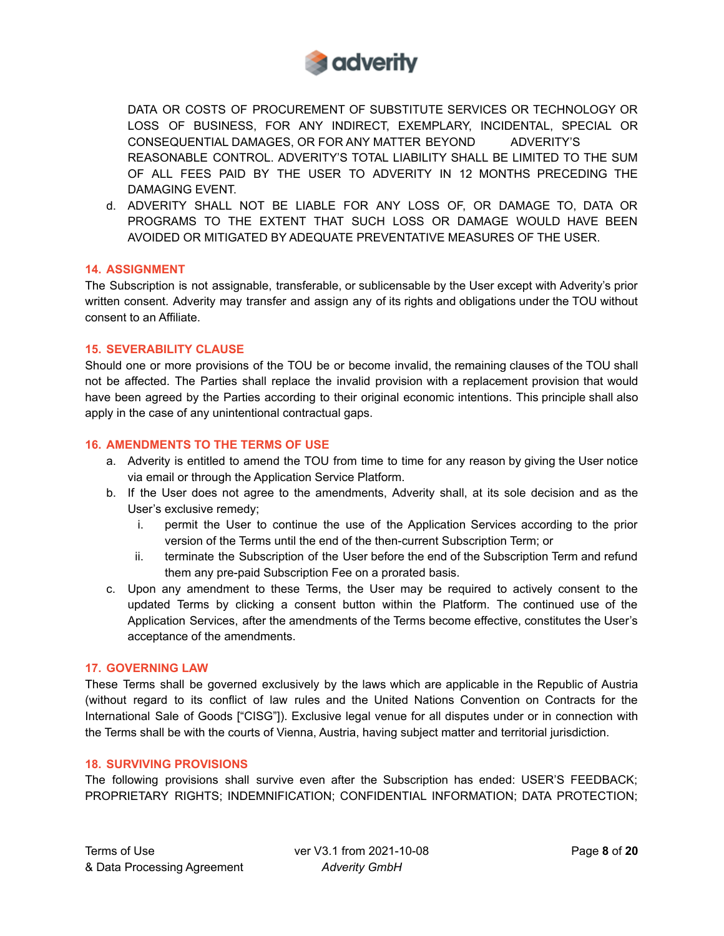

DATA OR COSTS OF PROCUREMENT OF SUBSTITUTE SERVICES OR TECHNOLOGY OR LOSS OF BUSINESS, FOR ANY INDIRECT, EXEMPLARY, INCIDENTAL, SPECIAL OR CONSEQUENTIAL DAMAGES, OR FOR ANY MATTER BEYOND ADVERITY'S REASONABLE CONTROL. ADVERITY'S TOTAL LIABILITY SHALL BE LIMITED TO THE SUM OF ALL FEES PAID BY THE USER TO ADVERITY IN 12 MONTHS PRECEDING THE DAMAGING EVENT.

d. ADVERITY SHALL NOT BE LIABLE FOR ANY LOSS OF, OR DAMAGE TO, DATA OR PROGRAMS TO THE EXTENT THAT SUCH LOSS OR DAMAGE WOULD HAVE BEEN AVOIDED OR MITIGATED BY ADEQUATE PREVENTATIVE MEASURES OF THE USER.

### **14. ASSIGNMENT**

The Subscription is not assignable, transferable, or sublicensable by the User except with Adverity's prior written consent. Adverity may transfer and assign any of its rights and obligations under the TOU without consent to an Affiliate.

### **15. SEVERABILITY CLAUSE**

Should one or more provisions of the TOU be or become invalid, the remaining clauses of the TOU shall not be affected. The Parties shall replace the invalid provision with a replacement provision that would have been agreed by the Parties according to their original economic intentions. This principle shall also apply in the case of any unintentional contractual gaps.

### **16. AMENDMENTS TO THE TERMS OF USE**

- a. Adverity is entitled to amend the TOU from time to time for any reason by giving the User notice via email or through the Application Service Platform.
- b. If the User does not agree to the amendments, Adverity shall, at its sole decision and as the User's exclusive remedy;
	- i. permit the User to continue the use of the Application Services according to the prior version of the Terms until the end of the then-current Subscription Term; or
	- ii. terminate the Subscription of the User before the end of the Subscription Term and refund them any pre-paid Subscription Fee on a prorated basis.
- c. Upon any amendment to these Terms, the User may be required to actively consent to the updated Terms by clicking a consent button within the Platform. The continued use of the Application Services, after the amendments of the Terms become effective, constitutes the User's acceptance of the amendments.

### **17. GOVERNING LAW**

These Terms shall be governed exclusively by the laws which are applicable in the Republic of Austria (without regard to its conflict of law rules and the United Nations Convention on Contracts for the International Sale of Goods ["CISG"]). Exclusive legal venue for all disputes under or in connection with the Terms shall be with the courts of Vienna, Austria, having subject matter and territorial jurisdiction.

### **18. SURVIVING PROVISIONS**

The following provisions shall survive even after the Subscription has ended: USER'S FEEDBACK; PROPRIETARY RIGHTS; INDEMNIFICATION; CONFIDENTIAL INFORMATION; DATA PROTECTION;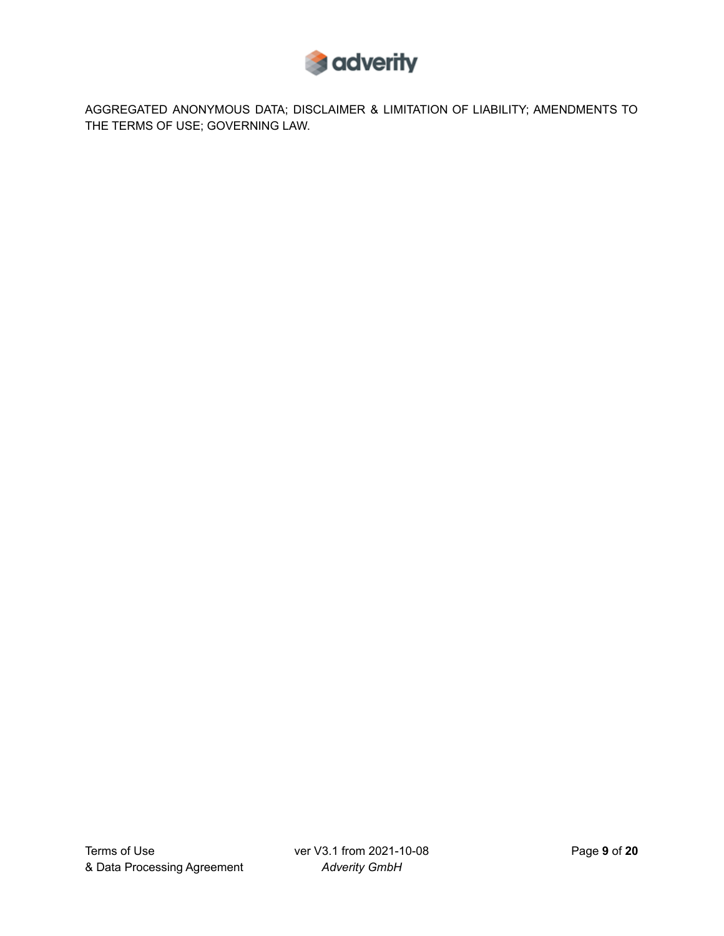

AGGREGATED ANONYMOUS DATA; DISCLAIMER & LIMITATION OF LIABILITY; AMENDMENTS TO THE TERMS OF USE; GOVERNING LAW.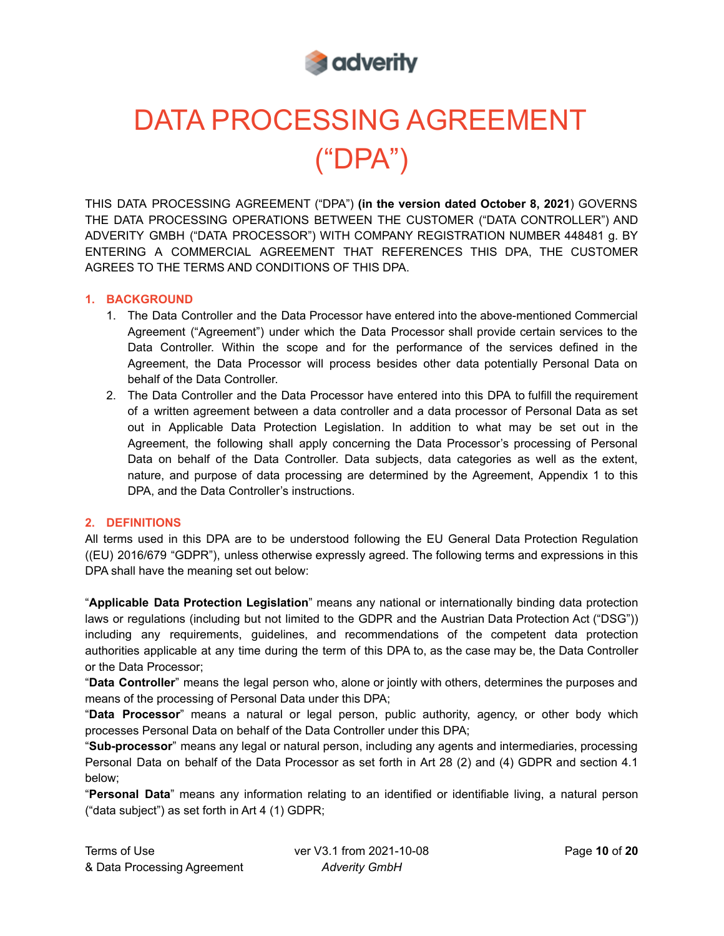

# DATA PROCESSING AGREEMENT ("DPA")

THIS DATA PROCESSING AGREEMENT ("DPA") **(in the version dated October 8, 2021**) GOVERNS THE DATA PROCESSING OPERATIONS BETWEEN THE CUSTOMER ("DATA CONTROLLER") AND ADVERITY GMBH ("DATA PROCESSOR") WITH COMPANY REGISTRATION NUMBER 448481 g. BY ENTERING A COMMERCIAL AGREEMENT THAT REFERENCES THIS DPA, THE CUSTOMER AGREES TO THE TERMS AND CONDITIONS OF THIS DPA.

# **1. BACKGROUND**

- 1. The Data Controller and the Data Processor have entered into the above-mentioned Commercial Agreement ("Agreement") under which the Data Processor shall provide certain services to the Data Controller. Within the scope and for the performance of the services defined in the Agreement, the Data Processor will process besides other data potentially Personal Data on behalf of the Data Controller.
- 2. The Data Controller and the Data Processor have entered into this DPA to fulfill the requirement of a written agreement between a data controller and a data processor of Personal Data as set out in Applicable Data Protection Legislation. In addition to what may be set out in the Agreement, the following shall apply concerning the Data Processor's processing of Personal Data on behalf of the Data Controller. Data subjects, data categories as well as the extent, nature, and purpose of data processing are determined by the Agreement, Appendix 1 to this DPA, and the Data Controller's instructions.

### **2. DEFINITIONS**

All terms used in this DPA are to be understood following the EU General Data Protection Regulation ((EU) 2016/679 "GDPR"), unless otherwise expressly agreed. The following terms and expressions in this DPA shall have the meaning set out below:

"**Applicable Data Protection Legislation**" means any national or internationally binding data protection laws or regulations (including but not limited to the GDPR and the Austrian Data Protection Act ("DSG")) including any requirements, guidelines, and recommendations of the competent data protection authorities applicable at any time during the term of this DPA to, as the case may be, the Data Controller or the Data Processor;

"**Data Controller**" means the legal person who, alone or jointly with others, determines the purposes and means of the processing of Personal Data under this DPA;

"**Data Processor**" means a natural or legal person, public authority, agency, or other body which processes Personal Data on behalf of the Data Controller under this DPA;

"**Sub-processor**" means any legal or natural person, including any agents and intermediaries, processing Personal Data on behalf of the Data Processor as set forth in Art 28 (2) and (4) GDPR and section 4.1 below;

"**Personal Data**" means any information relating to an identified or identifiable living, a natural person ("data subject") as set forth in Art 4 (1) GDPR;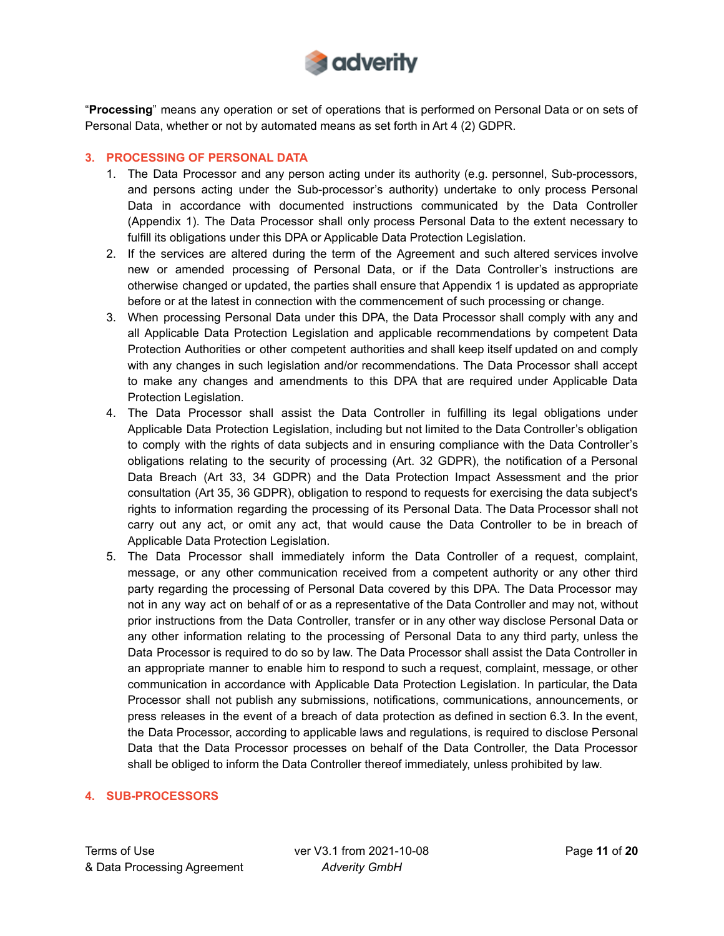

"**Processing**" means any operation or set of operations that is performed on Personal Data or on sets of Personal Data, whether or not by automated means as set forth in Art 4 (2) GDPR.

# **3. PROCESSING OF PERSONAL DATA**

- 1. The Data Processor and any person acting under its authority (e.g. personnel, Sub-processors, and persons acting under the Sub-processor's authority) undertake to only process Personal Data in accordance with documented instructions communicated by the Data Controller (Appendix 1). The Data Processor shall only process Personal Data to the extent necessary to fulfill its obligations under this DPA or Applicable Data Protection Legislation.
- 2. If the services are altered during the term of the Agreement and such altered services involve new or amended processing of Personal Data, or if the Data Controller's instructions are otherwise changed or updated, the parties shall ensure that Appendix 1 is updated as appropriate before or at the latest in connection with the commencement of such processing or change.
- 3. When processing Personal Data under this DPA, the Data Processor shall comply with any and all Applicable Data Protection Legislation and applicable recommendations by competent Data Protection Authorities or other competent authorities and shall keep itself updated on and comply with any changes in such legislation and/or recommendations. The Data Processor shall accept to make any changes and amendments to this DPA that are required under Applicable Data Protection Legislation.
- 4. The Data Processor shall assist the Data Controller in fulfilling its legal obligations under Applicable Data Protection Legislation, including but not limited to the Data Controller's obligation to comply with the rights of data subjects and in ensuring compliance with the Data Controller's obligations relating to the security of processing (Art. 32 GDPR), the notification of a Personal Data Breach (Art 33, 34 GDPR) and the Data Protection Impact Assessment and the prior consultation (Art 35, 36 GDPR), obligation to respond to requests for exercising the data subject's rights to information regarding the processing of its Personal Data. The Data Processor shall not carry out any act, or omit any act, that would cause the Data Controller to be in breach of Applicable Data Protection Legislation.
- 5. The Data Processor shall immediately inform the Data Controller of a request, complaint, message, or any other communication received from a competent authority or any other third party regarding the processing of Personal Data covered by this DPA. The Data Processor may not in any way act on behalf of or as a representative of the Data Controller and may not, without prior instructions from the Data Controller, transfer or in any other way disclose Personal Data or any other information relating to the processing of Personal Data to any third party, unless the Data Processor is required to do so by law. The Data Processor shall assist the Data Controller in an appropriate manner to enable him to respond to such a request, complaint, message, or other communication in accordance with Applicable Data Protection Legislation. In particular, the Data Processor shall not publish any submissions, notifications, communications, announcements, or press releases in the event of a breach of data protection as defined in section 6.3. In the event, the Data Processor, according to applicable laws and regulations, is required to disclose Personal Data that the Data Processor processes on behalf of the Data Controller, the Data Processor shall be obliged to inform the Data Controller thereof immediately, unless prohibited by law.

# **4. SUB-PROCESSORS**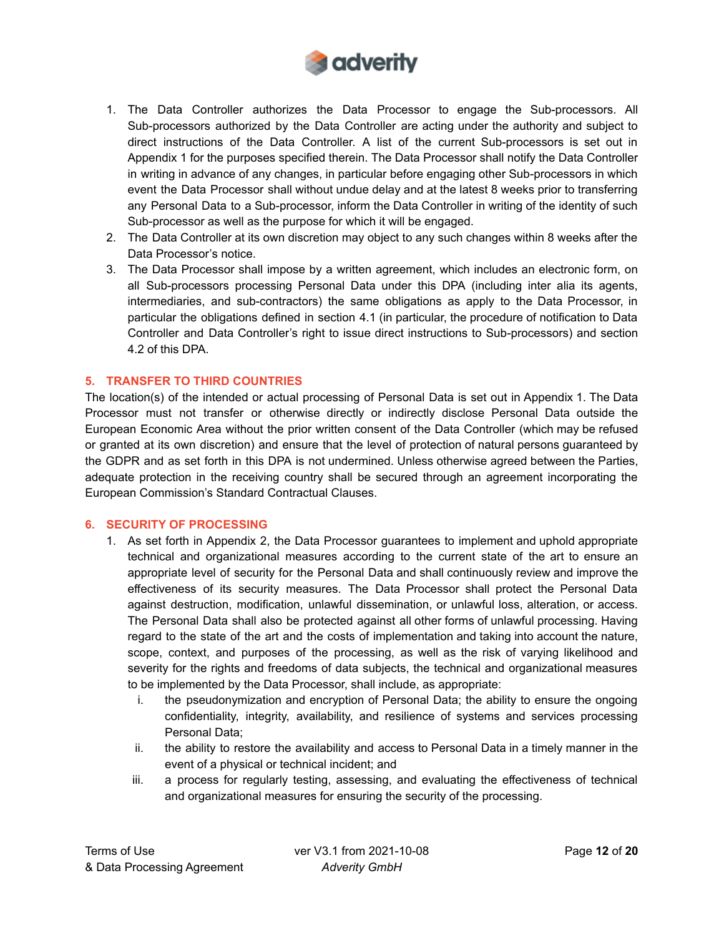

- 1. The Data Controller authorizes the Data Processor to engage the Sub-processors. All Sub-processors authorized by the Data Controller are acting under the authority and subject to direct instructions of the Data Controller. A list of the current Sub-processors is set out in Appendix 1 for the purposes specified therein. The Data Processor shall notify the Data Controller in writing in advance of any changes, in particular before engaging other Sub-processors in which event the Data Processor shall without undue delay and at the latest 8 weeks prior to transferring any Personal Data to a Sub-processor, inform the Data Controller in writing of the identity of such Sub-processor as well as the purpose for which it will be engaged.
- 2. The Data Controller at its own discretion may object to any such changes within 8 weeks after the Data Processor's notice.
- 3. The Data Processor shall impose by a written agreement, which includes an electronic form, on all Sub-processors processing Personal Data under this DPA (including inter alia its agents, intermediaries, and sub-contractors) the same obligations as apply to the Data Processor, in particular the obligations defined in section 4.1 (in particular, the procedure of notification to Data Controller and Data Controller's right to issue direct instructions to Sub-processors) and section 4.2 of this DPA.

### **5. TRANSFER TO THIRD COUNTRIES**

The location(s) of the intended or actual processing of Personal Data is set out in Appendix 1. The Data Processor must not transfer or otherwise directly or indirectly disclose Personal Data outside the European Economic Area without the prior written consent of the Data Controller (which may be refused or granted at its own discretion) and ensure that the level of protection of natural persons guaranteed by the GDPR and as set forth in this DPA is not undermined. Unless otherwise agreed between the Parties, adequate protection in the receiving country shall be secured through an agreement incorporating the European Commission's Standard Contractual Clauses.

### **6. SECURITY OF PROCESSING**

- 1. As set forth in Appendix 2, the Data Processor guarantees to implement and uphold appropriate technical and organizational measures according to the current state of the art to ensure an appropriate level of security for the Personal Data and shall continuously review and improve the effectiveness of its security measures. The Data Processor shall protect the Personal Data against destruction, modification, unlawful dissemination, or unlawful loss, alteration, or access. The Personal Data shall also be protected against all other forms of unlawful processing. Having regard to the state of the art and the costs of implementation and taking into account the nature, scope, context, and purposes of the processing, as well as the risk of varying likelihood and severity for the rights and freedoms of data subjects, the technical and organizational measures to be implemented by the Data Processor, shall include, as appropriate:
	- i. the pseudonymization and encryption of Personal Data; the ability to ensure the ongoing confidentiality, integrity, availability, and resilience of systems and services processing Personal Data;
	- ii. the ability to restore the availability and access to Personal Data in a timely manner in the event of a physical or technical incident; and
	- iii. a process for regularly testing, assessing, and evaluating the effectiveness of technical and organizational measures for ensuring the security of the processing.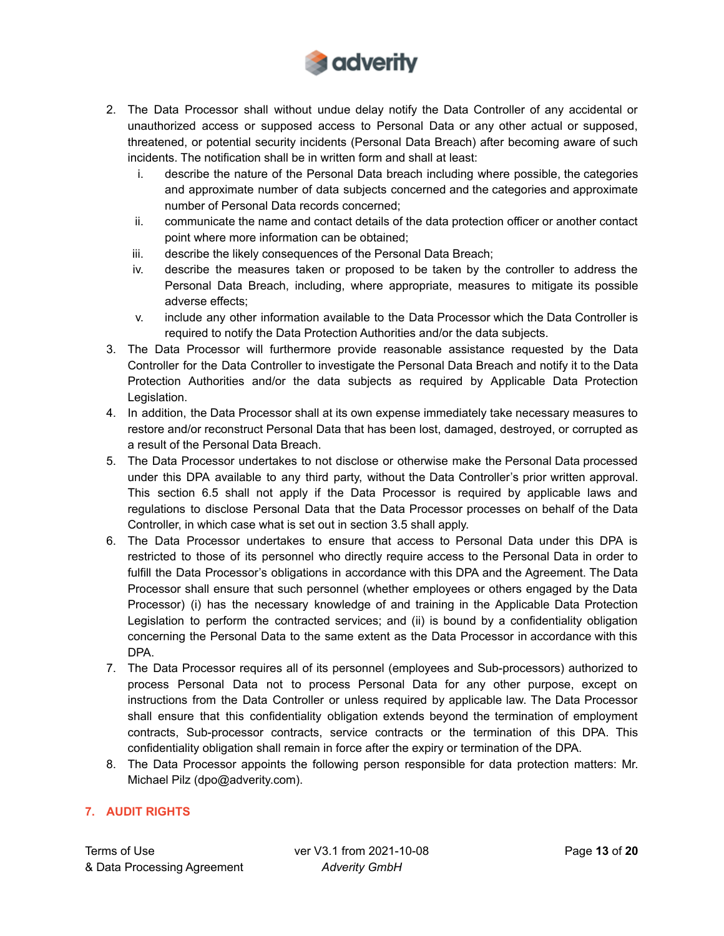

- 2. The Data Processor shall without undue delay notify the Data Controller of any accidental or unauthorized access or supposed access to Personal Data or any other actual or supposed, threatened, or potential security incidents (Personal Data Breach) after becoming aware of such incidents. The notification shall be in written form and shall at least:
	- i. describe the nature of the Personal Data breach including where possible, the categories and approximate number of data subjects concerned and the categories and approximate number of Personal Data records concerned;
	- ii. communicate the name and contact details of the data protection officer or another contact point where more information can be obtained;
	- iii. describe the likely consequences of the Personal Data Breach;
	- iv. describe the measures taken or proposed to be taken by the controller to address the Personal Data Breach, including, where appropriate, measures to mitigate its possible adverse effects;
	- v. include any other information available to the Data Processor which the Data Controller is required to notify the Data Protection Authorities and/or the data subjects.
- 3. The Data Processor will furthermore provide reasonable assistance requested by the Data Controller for the Data Controller to investigate the Personal Data Breach and notify it to the Data Protection Authorities and/or the data subjects as required by Applicable Data Protection Legislation.
- 4. In addition, the Data Processor shall at its own expense immediately take necessary measures to restore and/or reconstruct Personal Data that has been lost, damaged, destroyed, or corrupted as a result of the Personal Data Breach.
- 5. The Data Processor undertakes to not disclose or otherwise make the Personal Data processed under this DPA available to any third party, without the Data Controller's prior written approval. This section 6.5 shall not apply if the Data Processor is required by applicable laws and regulations to disclose Personal Data that the Data Processor processes on behalf of the Data Controller, in which case what is set out in section 3.5 shall apply.
- 6. The Data Processor undertakes to ensure that access to Personal Data under this DPA is restricted to those of its personnel who directly require access to the Personal Data in order to fulfill the Data Processor's obligations in accordance with this DPA and the Agreement. The Data Processor shall ensure that such personnel (whether employees or others engaged by the Data Processor) (i) has the necessary knowledge of and training in the Applicable Data Protection Legislation to perform the contracted services; and (ii) is bound by a confidentiality obligation concerning the Personal Data to the same extent as the Data Processor in accordance with this DPA.
- 7. The Data Processor requires all of its personnel (employees and Sub-processors) authorized to process Personal Data not to process Personal Data for any other purpose, except on instructions from the Data Controller or unless required by applicable law. The Data Processor shall ensure that this confidentiality obligation extends beyond the termination of employment contracts, Sub-processor contracts, service contracts or the termination of this DPA. This confidentiality obligation shall remain in force after the expiry or termination of the DPA.
- 8. The Data Processor appoints the following person responsible for data protection matters: Mr. Michael Pilz (dpo@adverity.com).

# **7. AUDIT RIGHTS**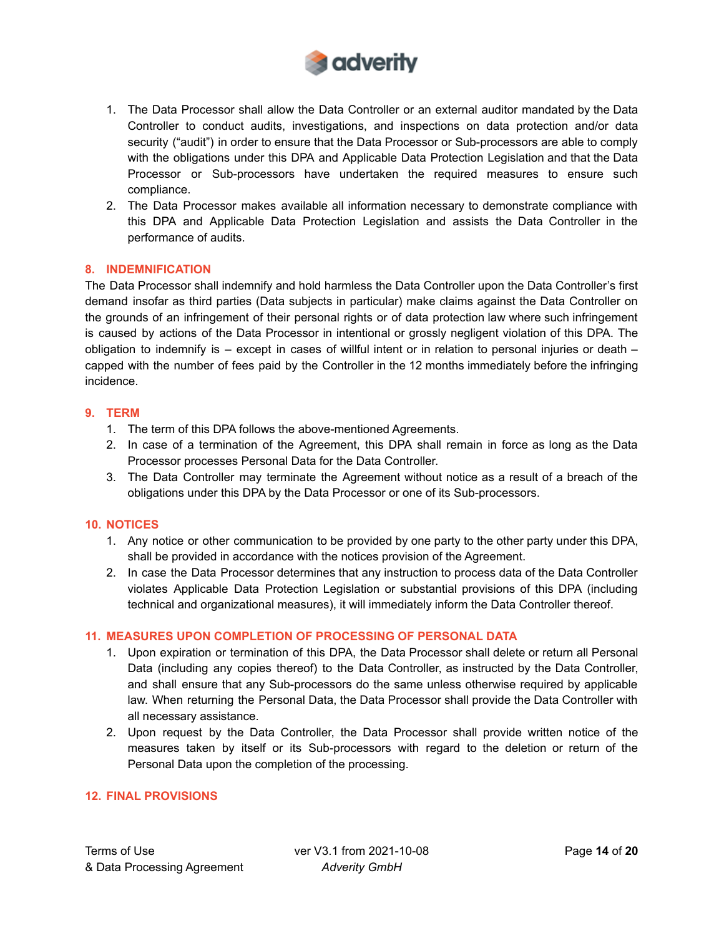

- 1. The Data Processor shall allow the Data Controller or an external auditor mandated by the Data Controller to conduct audits, investigations, and inspections on data protection and/or data security ("audit") in order to ensure that the Data Processor or Sub-processors are able to comply with the obligations under this DPA and Applicable Data Protection Legislation and that the Data Processor or Sub-processors have undertaken the required measures to ensure such compliance.
- 2. The Data Processor makes available all information necessary to demonstrate compliance with this DPA and Applicable Data Protection Legislation and assists the Data Controller in the performance of audits.

### **8. INDEMNIFICATION**

The Data Processor shall indemnify and hold harmless the Data Controller upon the Data Controller's first demand insofar as third parties (Data subjects in particular) make claims against the Data Controller on the grounds of an infringement of their personal rights or of data protection law where such infringement is caused by actions of the Data Processor in intentional or grossly negligent violation of this DPA. The obligation to indemnify is – except in cases of willful intent or in relation to personal injuries or death – capped with the number of fees paid by the Controller in the 12 months immediately before the infringing incidence.

### **9. TERM**

- 1. The term of this DPA follows the above-mentioned Agreements.
- 2. In case of a termination of the Agreement, this DPA shall remain in force as long as the Data Processor processes Personal Data for the Data Controller.
- 3. The Data Controller may terminate the Agreement without notice as a result of a breach of the obligations under this DPA by the Data Processor or one of its Sub-processors.

### **10. NOTICES**

- 1. Any notice or other communication to be provided by one party to the other party under this DPA, shall be provided in accordance with the notices provision of the Agreement.
- 2. In case the Data Processor determines that any instruction to process data of the Data Controller violates Applicable Data Protection Legislation or substantial provisions of this DPA (including technical and organizational measures), it will immediately inform the Data Controller thereof.

# **11. MEASURES UPON COMPLETION OF PROCESSING OF PERSONAL DATA**

- 1. Upon expiration or termination of this DPA, the Data Processor shall delete or return all Personal Data (including any copies thereof) to the Data Controller, as instructed by the Data Controller, and shall ensure that any Sub-processors do the same unless otherwise required by applicable law. When returning the Personal Data, the Data Processor shall provide the Data Controller with all necessary assistance.
- 2. Upon request by the Data Controller, the Data Processor shall provide written notice of the measures taken by itself or its Sub-processors with regard to the deletion or return of the Personal Data upon the completion of the processing.

# **12. FINAL PROVISIONS**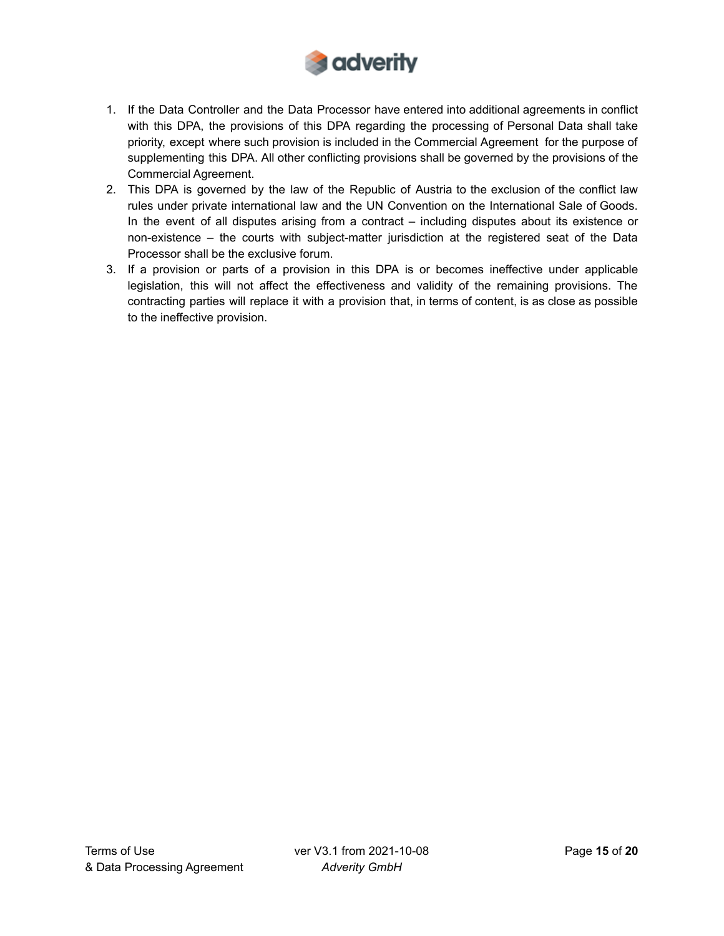

- 1. If the Data Controller and the Data Processor have entered into additional agreements in conflict with this DPA, the provisions of this DPA regarding the processing of Personal Data shall take priority, except where such provision is included in the Commercial Agreement for the purpose of supplementing this DPA. All other conflicting provisions shall be governed by the provisions of the Commercial Agreement.
- 2. This DPA is governed by the law of the Republic of Austria to the exclusion of the conflict law rules under private international law and the UN Convention on the International Sale of Goods. In the event of all disputes arising from a contract – including disputes about its existence or non-existence – the courts with subject-matter jurisdiction at the registered seat of the Data Processor shall be the exclusive forum.
- 3. If a provision or parts of a provision in this DPA is or becomes ineffective under applicable legislation, this will not affect the effectiveness and validity of the remaining provisions. The contracting parties will replace it with a provision that, in terms of content, is as close as possible to the ineffective provision.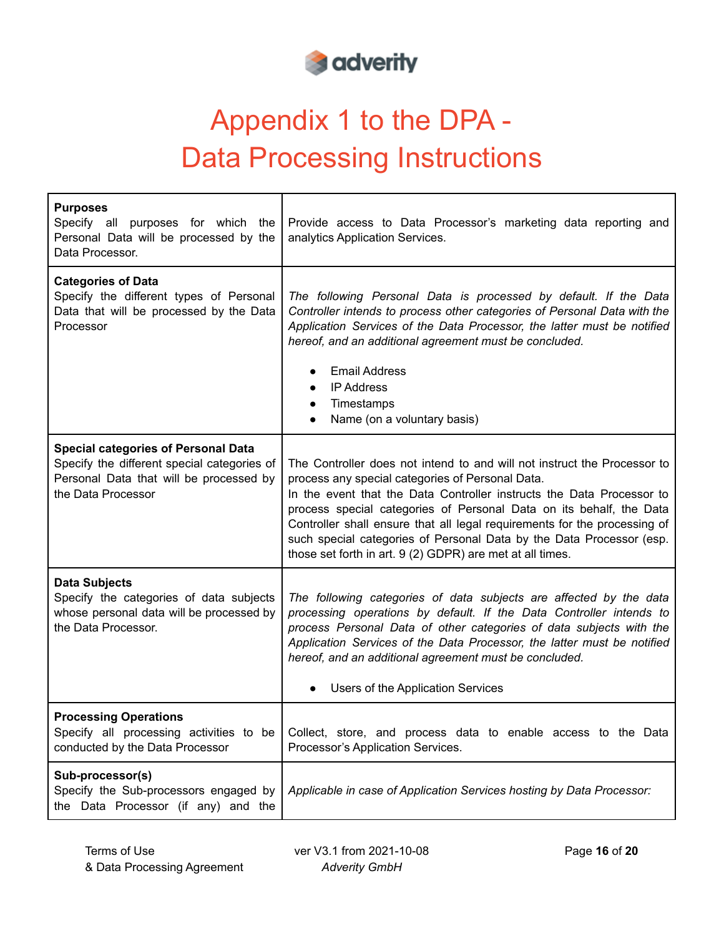

# Appendix 1 to the DPA - Data Processing Instructions

| <b>Purposes</b><br>Specify all purposes for which the<br>Personal Data will be processed by the<br>Data Processor.                                         | Provide access to Data Processor's marketing data reporting and<br>analytics Application Services.                                                                                                                                                                                                                                                                                                                                                                                             |
|------------------------------------------------------------------------------------------------------------------------------------------------------------|------------------------------------------------------------------------------------------------------------------------------------------------------------------------------------------------------------------------------------------------------------------------------------------------------------------------------------------------------------------------------------------------------------------------------------------------------------------------------------------------|
| <b>Categories of Data</b><br>Specify the different types of Personal<br>Data that will be processed by the Data<br>Processor                               | The following Personal Data is processed by default. If the Data<br>Controller intends to process other categories of Personal Data with the<br>Application Services of the Data Processor, the latter must be notified<br>hereof, and an additional agreement must be concluded.<br><b>Email Address</b><br><b>IP Address</b><br>$\bullet$<br>Timestamps<br>$\bullet$<br>Name (on a voluntary basis)                                                                                          |
| <b>Special categories of Personal Data</b><br>Specify the different special categories of<br>Personal Data that will be processed by<br>the Data Processor | The Controller does not intend to and will not instruct the Processor to<br>process any special categories of Personal Data.<br>In the event that the Data Controller instructs the Data Processor to<br>process special categories of Personal Data on its behalf, the Data<br>Controller shall ensure that all legal requirements for the processing of<br>such special categories of Personal Data by the Data Processor (esp.<br>those set forth in art. 9 (2) GDPR) are met at all times. |
| <b>Data Subjects</b><br>Specify the categories of data subjects<br>whose personal data will be processed by<br>the Data Processor.                         | The following categories of data subjects are affected by the data<br>processing operations by default. If the Data Controller intends to<br>process Personal Data of other categories of data subjects with the<br>Application Services of the Data Processor, the latter must be notified<br>hereof, and an additional agreement must be concluded.<br>Users of the Application Services                                                                                                     |
| <b>Processing Operations</b><br>Specify all processing activities to be<br>conducted by the Data Processor                                                 | Collect, store, and process data to enable access to the Data<br>Processor's Application Services.                                                                                                                                                                                                                                                                                                                                                                                             |
| Sub-processor(s)<br>Specify the Sub-processors engaged by<br>the Data Processor (if any) and the                                                           | Applicable in case of Application Services hosting by Data Processor:                                                                                                                                                                                                                                                                                                                                                                                                                          |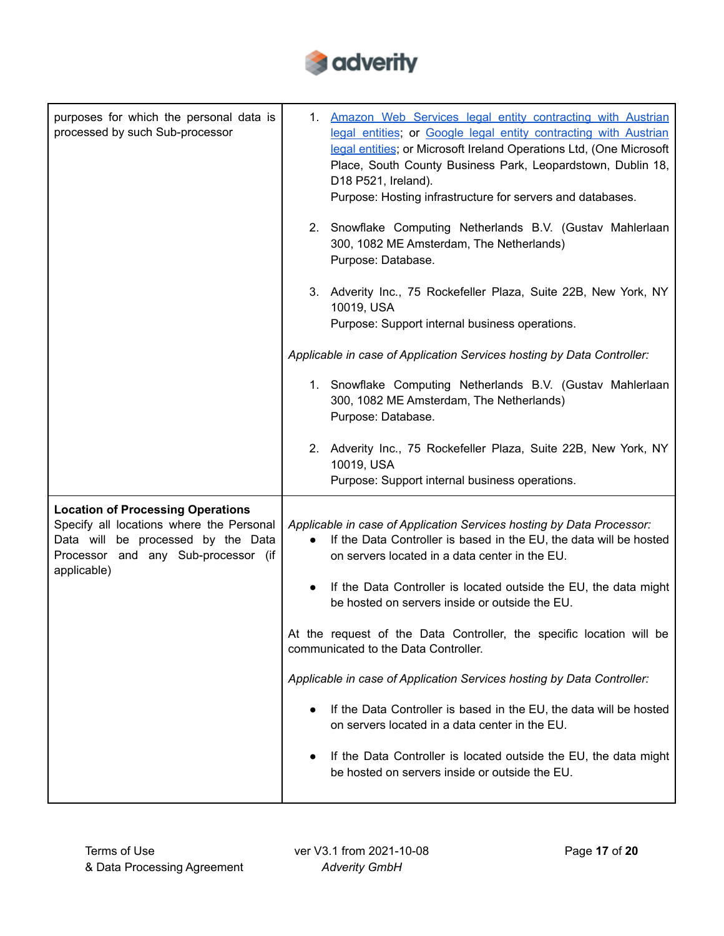

| purposes for which the personal data is<br>processed by such Sub-processor                                                                                                       | 1. Amazon Web Services legal entity contracting with Austrian<br>legal entities; or Google legal entity contracting with Austrian<br>legal entities; or Microsoft Ireland Operations Ltd, (One Microsoft<br>Place, South County Business Park, Leopardstown, Dublin 18,<br>D18 P521, Ireland).<br>Purpose: Hosting infrastructure for servers and databases. |
|----------------------------------------------------------------------------------------------------------------------------------------------------------------------------------|--------------------------------------------------------------------------------------------------------------------------------------------------------------------------------------------------------------------------------------------------------------------------------------------------------------------------------------------------------------|
|                                                                                                                                                                                  | 2. Snowflake Computing Netherlands B.V. (Gustav Mahlerlaan<br>300, 1082 ME Amsterdam, The Netherlands)<br>Purpose: Database.                                                                                                                                                                                                                                 |
|                                                                                                                                                                                  | 3. Adverity Inc., 75 Rockefeller Plaza, Suite 22B, New York, NY<br>10019, USA<br>Purpose: Support internal business operations.                                                                                                                                                                                                                              |
|                                                                                                                                                                                  | Applicable in case of Application Services hosting by Data Controller:                                                                                                                                                                                                                                                                                       |
|                                                                                                                                                                                  | 1. Snowflake Computing Netherlands B.V. (Gustav Mahlerlaan<br>300, 1082 ME Amsterdam, The Netherlands)<br>Purpose: Database.                                                                                                                                                                                                                                 |
|                                                                                                                                                                                  | 2. Adverity Inc., 75 Rockefeller Plaza, Suite 22B, New York, NY<br>10019, USA<br>Purpose: Support internal business operations.                                                                                                                                                                                                                              |
| <b>Location of Processing Operations</b><br>Specify all locations where the Personal<br>Data will be processed by the Data<br>Processor and any Sub-processor (if<br>applicable) | Applicable in case of Application Services hosting by Data Processor:<br>If the Data Controller is based in the EU, the data will be hosted<br>$\bullet$<br>on servers located in a data center in the EU.                                                                                                                                                   |
|                                                                                                                                                                                  | If the Data Controller is located outside the EU, the data might<br>be hosted on servers inside or outside the EU.                                                                                                                                                                                                                                           |
|                                                                                                                                                                                  | At the request of the Data Controller, the specific location will be<br>communicated to the Data Controller.                                                                                                                                                                                                                                                 |
|                                                                                                                                                                                  | Applicable in case of Application Services hosting by Data Controller:                                                                                                                                                                                                                                                                                       |
|                                                                                                                                                                                  | If the Data Controller is based in the EU, the data will be hosted<br>on servers located in a data center in the EU.                                                                                                                                                                                                                                         |
|                                                                                                                                                                                  | If the Data Controller is located outside the EU, the data might<br>$\bullet$<br>be hosted on servers inside or outside the EU.                                                                                                                                                                                                                              |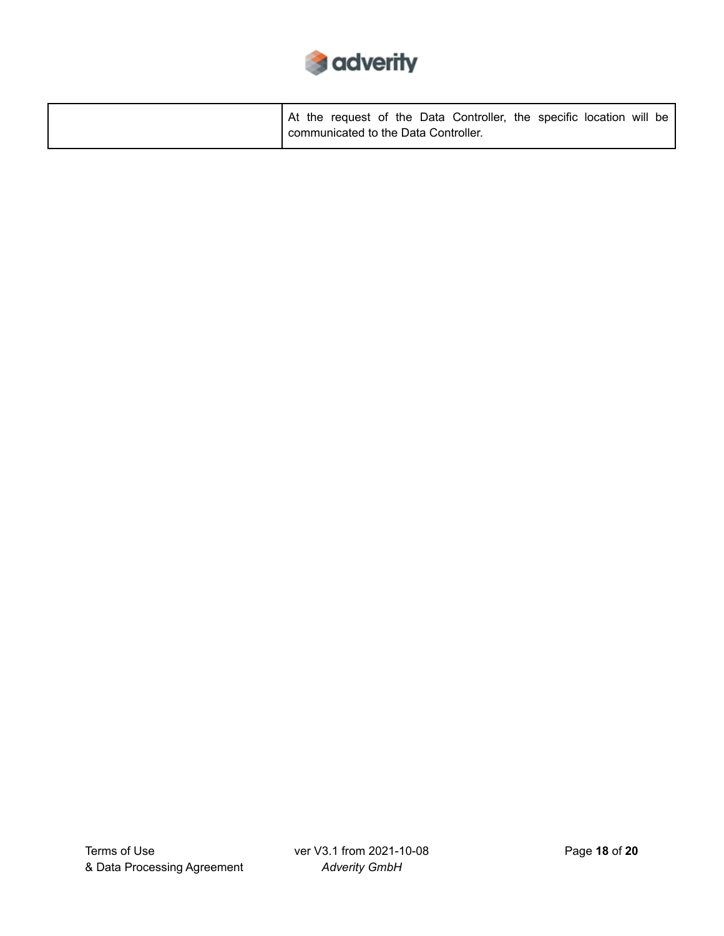

|  |                                      |  | At the request of the Data Controller, the specific location will be |  |  |  |
|--|--------------------------------------|--|----------------------------------------------------------------------|--|--|--|
|  | communicated to the Data Controller. |  |                                                                      |  |  |  |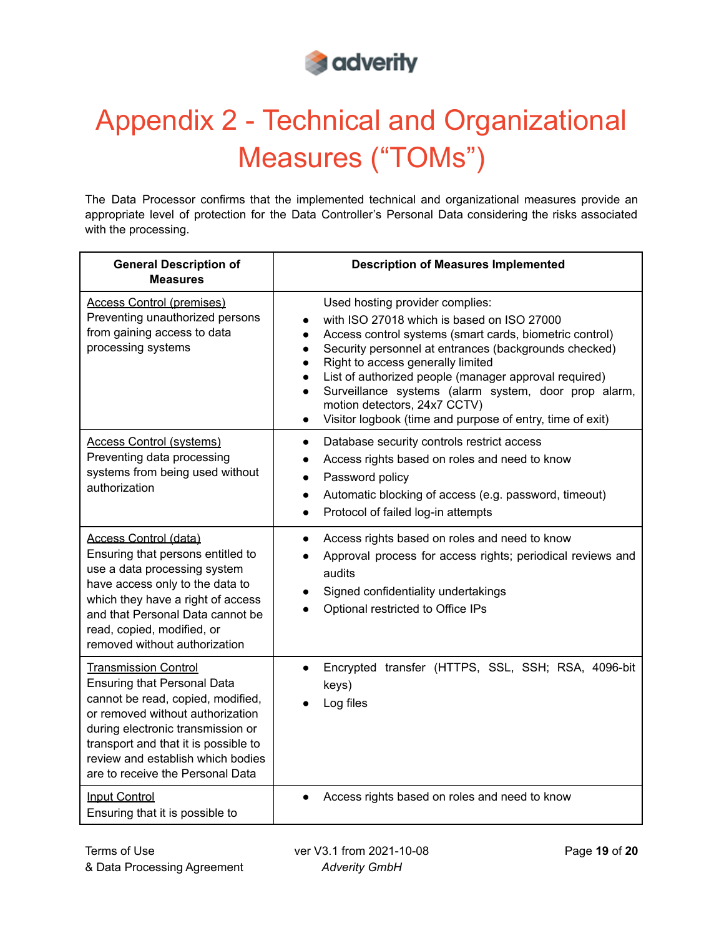

# Appendix 2 - Technical and Organizational Measures ("TOMs")

The Data Processor confirms that the implemented technical and organizational measures provide an appropriate level of protection for the Data Controller's Personal Data considering the risks associated with the processing.

| <b>General Description of</b><br><b>Measures</b>                                                                                                                                                                                                                                                 | <b>Description of Measures Implemented</b>                                                                                                                                                                                                                                                                                                                                                                                                                                                                                         |
|--------------------------------------------------------------------------------------------------------------------------------------------------------------------------------------------------------------------------------------------------------------------------------------------------|------------------------------------------------------------------------------------------------------------------------------------------------------------------------------------------------------------------------------------------------------------------------------------------------------------------------------------------------------------------------------------------------------------------------------------------------------------------------------------------------------------------------------------|
| <b>Access Control (premises)</b><br>Preventing unauthorized persons<br>from gaining access to data<br>processing systems                                                                                                                                                                         | Used hosting provider complies:<br>with ISO 27018 which is based on ISO 27000<br>$\bullet$<br>Access control systems (smart cards, biometric control)<br>$\bullet$<br>Security personnel at entrances (backgrounds checked)<br>$\bullet$<br>Right to access generally limited<br>$\bullet$<br>List of authorized people (manager approval required)<br>$\bullet$<br>Surveillance systems (alarm system, door prop alarm,<br>$\bullet$<br>motion detectors, 24x7 CCTV)<br>Visitor logbook (time and purpose of entry, time of exit) |
| <b>Access Control (systems)</b><br>Preventing data processing<br>systems from being used without<br>authorization                                                                                                                                                                                | Database security controls restrict access<br>$\bullet$<br>Access rights based on roles and need to know<br>$\bullet$<br>Password policy<br>$\bullet$<br>Automatic blocking of access (e.g. password, timeout)<br>$\bullet$<br>Protocol of failed log-in attempts<br>$\bullet$                                                                                                                                                                                                                                                     |
| Access Control (data)<br>Ensuring that persons entitled to<br>use a data processing system<br>have access only to the data to<br>which they have a right of access<br>and that Personal Data cannot be<br>read, copied, modified, or<br>removed without authorization                            | Access rights based on roles and need to know<br>$\bullet$<br>Approval process for access rights; periodical reviews and<br>audits<br>Signed confidentiality undertakings<br>$\bullet$<br>Optional restricted to Office IPs                                                                                                                                                                                                                                                                                                        |
| <b>Transmission Control</b><br><b>Ensuring that Personal Data</b><br>cannot be read, copied, modified,<br>or removed without authorization<br>during electronic transmission or<br>transport and that it is possible to<br>review and establish which bodies<br>are to receive the Personal Data | Encrypted transfer (HTTPS, SSL, SSH; RSA, 4096-bit<br>$\bullet$<br>keys)<br>Log files                                                                                                                                                                                                                                                                                                                                                                                                                                              |
| <b>Input Control</b><br>Ensuring that it is possible to                                                                                                                                                                                                                                          | Access rights based on roles and need to know<br>$\bullet$                                                                                                                                                                                                                                                                                                                                                                                                                                                                         |